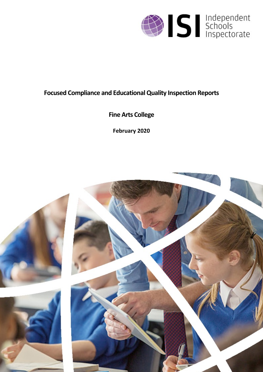

# **Focused Compliance and EducationalQuality Inspection Reports**

# **Fine Arts College**

**February 2020**

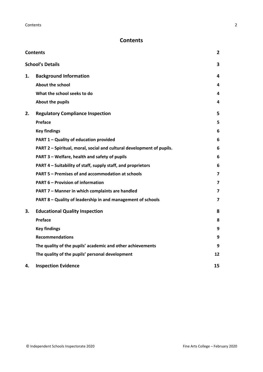## <span id="page-1-0"></span>**Contents**

| <b>Contents</b> |                                                                       | 2  |
|-----------------|-----------------------------------------------------------------------|----|
|                 | <b>School's Details</b>                                               | 3  |
| 1.              | <b>Background Information</b>                                         | 4  |
|                 | <b>About the school</b>                                               | 4  |
|                 | What the school seeks to do                                           | 4  |
|                 | About the pupils                                                      | 4  |
| 2.              | <b>Regulatory Compliance Inspection</b>                               | 5  |
|                 | <b>Preface</b>                                                        | 5  |
|                 | <b>Key findings</b>                                                   | 6  |
|                 | PART 1 - Quality of education provided                                | 6  |
|                 | PART 2 - Spiritual, moral, social and cultural development of pupils. | 6  |
|                 | PART 3 - Welfare, health and safety of pupils                         | 6  |
|                 | PART 4 - Suitability of staff, supply staff, and proprietors          | 6  |
|                 | PART 5 - Premises of and accommodation at schools                     | 7  |
|                 | <b>PART 6 - Provision of information</b>                              | 7  |
|                 | PART 7 - Manner in which complaints are handled                       | 7  |
|                 | PART 8 - Quality of leadership in and management of schools           | 7  |
| З.              | <b>Educational Quality Inspection</b>                                 | 8  |
|                 | Preface                                                               | 8  |
|                 | <b>Key findings</b>                                                   | 9  |
|                 | <b>Recommendations</b>                                                | 9  |
|                 | The quality of the pupils' academic and other achievements            | 9  |
|                 | The quality of the pupils' personal development                       | 12 |
| 4.              | <b>Inspection Evidence</b>                                            | 15 |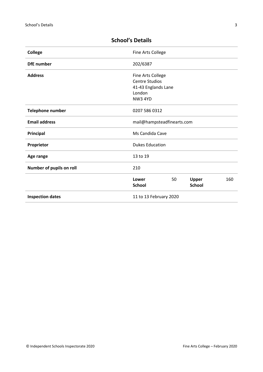| <b>College</b>           | Fine Arts College                                                                             |
|--------------------------|-----------------------------------------------------------------------------------------------|
| <b>DfE</b> number        | 202/6387                                                                                      |
| <b>Address</b>           | Fine Arts College<br><b>Centre Studios</b><br>41-43 Englands Lane<br>London<br><b>NW3 4YD</b> |
| <b>Telephone number</b>  | 0207 586 0312                                                                                 |
| <b>Email address</b>     | mail@hampsteadfinearts.com                                                                    |
| Principal                | Ms Candida Cave                                                                               |
| Proprietor               | <b>Dukes Education</b>                                                                        |
| Age range                | 13 to 19                                                                                      |
| Number of pupils on roll | 210                                                                                           |
|                          | Upper<br>160<br>Lower<br>50<br><b>School</b><br><b>School</b>                                 |
| <b>Inspection dates</b>  | 11 to 13 February 2020                                                                        |

## <span id="page-2-0"></span>**School's Details**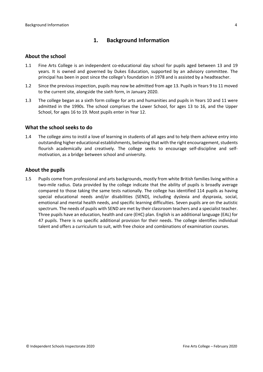## <span id="page-3-0"></span>**1. Background Information**

#### <span id="page-3-1"></span>**About the school**

- 1.1 Fine Arts College is an independent co-educational day school for pupils aged between 13 and 19 years. It is owned and governed by Dukes Education, supported by an advisory committee. The principal has been in post since the college's foundation in 1978 and is assisted by a headteacher.
- 1.2 Since the previous inspection, pupils may now be admitted from age 13. Pupils in Years 9 to 11 moved to the current site, alongside the sixth form, in January 2020.
- 1.3 The college began as a sixth form college for arts and humanities and pupils in Years 10 and 11 were admitted in the 1990s. The school comprises the Lower School, for ages 13 to 16, and the Upper School, for ages 16 to 19. Most pupils enter in Year 12.

#### <span id="page-3-2"></span>**What the school seeks to do**

1.4 The college aims to instil a love of learning in students of all ages and to help them achieve entry into outstanding higher educational establishments, believing that with the right encouragement, students flourish academically and creatively. The college seeks to encourage self-discipline and selfmotivation, as a bridge between school and university.

#### <span id="page-3-3"></span>**About the pupils**

1.5 Pupils come from professional and arts backgrounds, mostly from white British families living within a two-mile radius. Data provided by the college indicate that the ability of pupils is broadly average compared to those taking the same tests nationally. The college has identified 114 pupils as having special educational needs and/or disabilities (SEND), including dyslexia and dyspraxia, social, emotional and mental health needs, and specific learning difficulties. Seven pupils are on the autistic spectrum. The needs of pupils with SEND are met by their classroom teachers and a specialist teacher. Three pupils have an education, health and care (EHC) plan. English is an additional language (EAL) for 47 pupils. There is no specific additional provision for their needs. The college identifies individual talent and offers a curriculum to suit, with free choice and combinations of examination courses.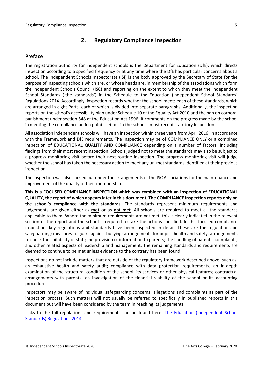## <span id="page-4-0"></span>**2. Regulatory Compliance Inspection**

## <span id="page-4-1"></span>**Preface**

The registration authority for independent schools is the Department for Education (DfE), which directs inspection according to a specified frequency or at any time where the DfE has particular concerns about a school. The Independent Schools Inspectorate (ISI) is the body approved by the Secretary of State for the purpose of inspecting schools which are, or whose heads are, in membership of the associations which form the Independent Schools Council (ISC) and reporting on the extent to which they meet the Independent School Standards ('the standards') in the Schedule to the Education (Independent School Standards) Regulations 2014. Accordingly, inspection records whether the school meets each of these standards, which are arranged in eight Parts, each of which is divided into separate paragraphs. Additionally, the inspection reports on the school's accessibility plan under Schedule 10 of the Equality Act 2010 and the ban on corporal punishment under section 548 of the Education Act 1996. It comments on the progress made by the school in meeting the compliance action points set out in the school's most recent statutory inspection.

All association independent schools will have an inspection within three yearsfrom April 2016, in accordance with the Framework and DfE requirements. The inspection may be of COMPLIANCE ONLY or a combined inspection of EDUCATIONAL QUALITY AND COMPLIANCE depending on a number of factors, including findings from their most recent inspection. Schools judged not to meet the standards may also be subject to a progress monitoring visit before their next routine inspection. The progress monitoring visit will judge whether the school has taken the necessary action to meet any un-met standards identified at their previous inspection.

The inspection was also carried out under the arrangements of the ISC Associations for the maintenance and improvement of the quality of their membership.

**This is a FOCUSED COMPLIANCE INSPECTION which was combined with an inspection of EDUCATIONAL QUALITY, the report of which appears later in this document. The COMPLIANCE inspection reports only on the school's compliance with the standards.** The standards represent minimum requirements and judgements are given either as **met** or as **not met**. All schools are required to meet all the standards applicable to them. Where the minimum requirements are not met, this is clearly indicated in the relevant section of the report and the school is required to take the actions specified. In this focused compliance inspection, key regulations and standards have been inspected in detail. These are the regulations on safeguarding; measures to guard against bullying; arrangements for pupils' health and safety, arrangements to check the suitability of staff; the provision of information to parents; the handling of parents' complaints; and other related aspects of leadership and management. The remaining standards and requirements are deemed to continue to be met unless evidence to the contrary has been found.

Inspections do not include matters that are outside of the regulatory framework described above, such as: an exhaustive health and safety audit; compliance with data protection requirements; an in-depth examination of the structural condition of the school, its services or other physical features; contractual arrangements with parents; an investigation of the financial viability of the school or its accounting procedures.

Inspectors may be aware of individual safeguarding concerns, allegations and complaints as part of the inspection process. Such matters will not usually be referred to specifically in published reports in this document but will have been considered by the team in reaching its judgements.

Links to the full regulations and requirements can be found here: The Education [\(Independent](http://www.legislation.gov.uk/uksi/2014/3283/contents/made) School Standards) [Regulations](http://www.legislation.gov.uk/uksi/2014/3283/contents/made) 2014.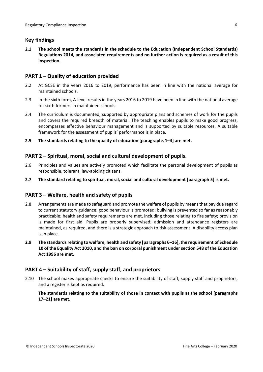## <span id="page-5-0"></span>**Key findings**

**2.1 The school meets the standards in the schedule to the Education (Independent School Standards) Regulations 2014, and associated requirements and no further action is required as a result of this inspection.**

## <span id="page-5-1"></span>**PART 1 – Quality of education provided**

- 2.2 At GCSE in the years 2016 to 2019, performance has been in line with the national average for maintained schools.
- 2.3 In the sixth form, A-level results in the years 2016 to 2019 have been in line with the national average for sixth formers in maintained schools.
- 2.4 The curriculum is documented, supported by appropriate plans and schemes of work for the pupils and covers the required breadth of material. The teaching enables pupils to make good progress, encompasses effective behaviour management and is supported by suitable resources. A suitable framework for the assessment of pupils' performance is in place.
- **2.5 The standards relating to the quality of education [paragraphs 1–4] are met.**

#### <span id="page-5-2"></span>**PART 2 – Spiritual, moral, social and cultural development of pupils.**

- 2.6 Principles and values are actively promoted which facilitate the personal development of pupils as responsible, tolerant, law-abiding citizens.
- **2.7 The standard relating to spiritual, moral, social and cultural development [paragraph 5] is met.**

#### <span id="page-5-3"></span>**PART 3 – Welfare, health and safety of pupils**

- 2.8 Arrangements are made to safeguard and promote the welfare of pupils by meansthat pay due regard to current statutory guidance; good behaviour is promoted; bullying is prevented so far as reasonably practicable; health and safety requirements are met, including those relating to fire safety; provision is made for first aid. Pupils are properly supervised; admission and attendance registers are maintained, as required, and there is a strategic approach to risk assessment. A disability access plan is in place.
- **2.9 The standardsrelating to welfare, health and safety [paragraphs 6–16], the requirement of Schedule 10 of the Equality Act 2010, and the ban on corporal punishment undersection 548 of the Education Act 1996 are met.**

#### <span id="page-5-4"></span>**PART 4 – Suitability of staff, supply staff, and proprietors**

2.10 The school makes appropriate checks to ensure the suitability of staff, supply staff and proprietors, and a register is kept as required.

**The standards relating to the suitability of those in contact with pupils at the school [paragraphs 17–21] are met.**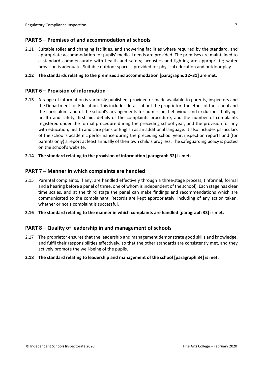## <span id="page-6-0"></span>**PART 5 – Premises of and accommodation at schools**

2.11 Suitable toilet and changing facilities, and showering facilities where required by the standard, and appropriate accommodation for pupils' medical needs are provided. The premises are maintained to a standard commensurate with health and safety; acoustics and lighting are appropriate; water provision is adequate. Suitable outdoor space is provided for physical education and outdoor play.

#### **2.12 The standards relating to the premises and accommodation [paragraphs 22–31] are met.**

#### <span id="page-6-1"></span>**PART 6 – Provision of information**

**2.13** A range of information is variously published, provided or made available to parents, inspectors and the Department for Education. This includes details about the proprietor, the ethos of the school and the curriculum, and of the school's arrangements for admission, behaviour and exclusions, bullying, health and safety, first aid, details of the complaints procedure, and the number of complaints registered under the formal procedure during the preceding school year, and the provision for any with education, health and care plans or English as an additional language. It also includes particulars of the school's academic performance during the preceding school year, inspection reports and (for parents only) a report at least annually of their own child's progress. The safeguarding policy is posted on the school's website.

#### **2.14 The standard relating to the provision of information [paragraph 32] is met.**

#### <span id="page-6-2"></span>**PART 7 – Manner in which complaints are handled**

2.15 Parental complaints, if any, are handled effectively through a three-stage process, (informal, formal and a hearing before a panel of three, one of whom is independent of the school). Each stage has clear time scales, and at the third stage the panel can make findings and recommendations which are communicated to the complainant. Records are kept appropriately, including of any action taken, whether or not a complaint is successful.

#### **2.16 The standard relating to the manner in which complaints are handled [paragraph 33] is met.**

#### <span id="page-6-3"></span>**PART 8 – Quality of leadership in and management of schools**

2.17 The proprietor ensures that the leadership and management demonstrate good skills and knowledge, and fulfil their responsibilities effectively, so that the other standards are consistently met, and they actively promote the well-being of the pupils.

#### **2.18 The standard relating to leadership and management of the school [paragraph 34] is met.**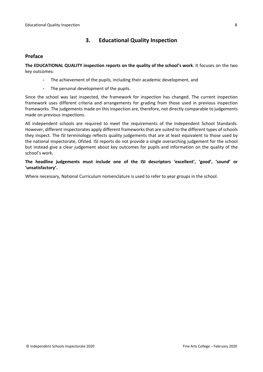## <span id="page-7-0"></span>**3. Educational Quality Inspection**

#### <span id="page-7-1"></span>**Preface**

**The EDUCATIONAL QUALITY inspection reports on the quality of the school's work**. It focuses on the two key outcomes:

- The achievement of the pupils, including their academic development, and
- The personal development of the pupils.

Since the school was last inspected, the framework for inspection has changed. The current inspection framework uses different criteria and arrangements for grading from those used in previous inspection frameworks. The judgements made on this inspection are, therefore, not directly comparable to judgements made on previous inspections.

All independent schools are required to meet the requirements of the Independent School Standards. However, different inspectorates apply different frameworks that are suited to the different types of schools they inspect. The ISI terminology reflects quality judgements that are at least equivalent to those used by the national inspectorate, Ofsted. ISI reports do not provide a single overarching judgement for the school but instead give a clear judgement about key outcomes for pupils and information on the quality of the school's work.

**The headline judgements must include one of the ISI descriptors 'excellent', 'good', 'sound' or 'unsatisfactory'.**

Where necessary, National Curriculum nomenclature is used to refer to year groups in the school.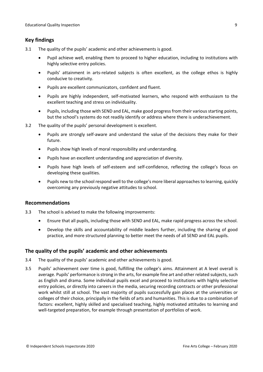## <span id="page-8-0"></span>**Key findings**

- 3.1 The quality of the pupils' academic and other achievements is good.
	- Pupil achieve well, enabling them to proceed to higher education, including to institutions with highly selective entry policies.
	- Pupils' attainment in arts-related subjects is often excellent, as the college ethos is highly conducive to creativity.
	- Pupils are excellent communicators, confident and fluent.
	- Pupils are highly independent, self-motivated learners, who respond with enthusiasm to the excellent teaching and stress on individuality.
	- Pupils, including those with SEND and EAL, make good progress from their various starting points, but the school's systems do not readily identify or address where there is underachievement.
- 3.2 The quality of the pupils' personal development is excellent.
	- Pupils are strongly self-aware and understand the value of the decisions they make for their future.
	- Pupils show high levels of moral responsibility and understanding.
	- Pupils have an excellent understanding and appreciation of diversity.
	- Pupils have high levels of self-esteem and self-confidence, reflecting the college's focus on developing these qualities.
	- Pupils new to the school respond well to the college's more liberal approachesto learning, quickly overcoming any previously negative attitudes to school.

#### <span id="page-8-1"></span>**Recommendations**

- 3.3 The school is advised to make the following improvements:
	- Ensure that all pupils, including those with SEND and EAL, make rapid progress across the school.
	- Develop the skills and accountability of middle leaders further, including the sharing of good practice, and more structured planning to better meet the needs of all SEND and EAL pupils.

#### <span id="page-8-2"></span>**The quality of the pupils' academic and other achievements**

- 3.4 The quality of the pupils' academic and other achievements is good.
- 3.5 Pupils' achievement over time is good, fulfilling the college's aims. Attainment at A level overall is average. Pupils' performance is strong in the arts, for example fine art and other related subjects, such as English and drama. Some individual pupils excel and proceed to institutions with highly selective entry policies, or directly into careers in the media, securing recording contracts or other professional work whilst still at school. The vast majority of pupils successfully gain places at the universities or colleges of their choice, principally in the fields of arts and humanities. This is due to a combination of factors: excellent, highly skilled and specialised teaching, highly motivated attitudes to learning and well-targeted preparation, for example through presentation of portfolios of work.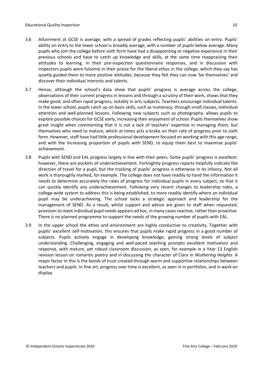- 3.6 Attainment at GCSE is average, with a spread of grades reflecting pupils' abilities on entry. Pupils' ability on entry to the lower school is broadly average, with a number of pupils below average. Many pupils who join the college before sixth form have had a disappointing or negative experience in their previous schools and have to catch up knowledge and skills, at the same time reappraising their attitudes to learning. In their pre-inspection questionnaire responses, and in discussion with inspectors pupils were fulsome in their praise for the liberal ethos in the college, which they say has quietly guided them to more positive attitudes, because they felt they can now 'be themselves' and discover their individual interests and talents.
- 3.7 Hence, although the school's data show that pupils' progress is average across the college, observations of their current progress in lessons and through a scrutiny of their work, shows that they make good, and often rapid progress, notably in arts subjects. Teachers encourage individual talents. In the lower school, pupils catch up on basic skills, such as numeracy, through small classes, individual attention and well-planned lessons. Following new subjects such as photography, allows pupils to explore possible choices for GCSE early, increasing their enjoyment of school. Pupils themselves show great insight when commenting that it is not a lack of teachers' expertise in managing them, but themselves who need to mature, which at times acts a brake on their rate of progress prior to sixth form. However, staff have had little professional development focused on working with this age range, and with the increasing proportion of pupils with SEND, to equip them best to maximise pupils' achievement.
- 3.8 Pupils with SEND and EAL progress largely in line with their peers. Some pupils' progress is excellent: however, there are pockets of underachievement. Fortnightly progress reports helpfully indicate the direction of travel for a pupil, but the tracking of pupils' progress is otherwise in its infancy. Not all work is thoroughly marked, for example. The college does not have readily to hand the information it needs to determine accurately the rates of progress for individual pupils in every subject, so that it can quickly identify any underachievement. Following very recent changes to leadership roles, a college-wide system to address this is being established, to more readily identify where an individual pupil may be underachieving. The school lacks a strategic approach and leadership for the management of SEND. As a result, whilst support and advice are given to staff when requested, provision to meet individual pupil needs appears ad hoc, in many casesreactive, rather than proactive. There is no planned programme to support the needs of the growing number of pupils with EAL.
- 3.9 In the upper school the ethos and environment are highly conductive to creativity. Together with pupils' excellent self-motivation, this ensures that pupils make rapid progress in a good number of subjects. Pupils actively engage in developing knowledge, gaining strong levels of subject understanding. Challenging, engaging and well-paced teaching prompts excellent motivation and response, with mature, yet robust classroom discussion, as seen, for example in a Year 13 English revision lesson on romantic poetry and in discussing the character of Clara in *Wuthering Heights*. A major factor in this is the bonds of trust created through warm and supportive relationships between teachers and pupils. In fine art, progress over time is excellent, as seen in in portfolios, and in work on display.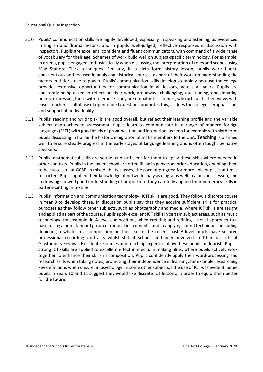- 3.10 Pupils' communication skills are highly developed, especially in speaking and listening, as evidenced in English and drama lessons, and in pupils' well-judged, reflective responses in discussion with inspectors. Pupils are excellent, confident and fluent communicators, with command of a wide range of vocabulary for their age. Schemes of work build well on subject-specific terminology. For example, in drama, pupils engaged enthusiastically when discussing the interpretation of roles and scenes using Max Stafford Clark techniques. Similarly, in a sixth form history lesson, pupils were fluent, conscientious and focused in analysing historical sources, as part of their work on understanding the factors in Hitler's rise to power. Pupils' communication skills develop so rapidly because the college provides extensive opportunities for communication in all lessons, across all years. Pupils are constantly being asked to reflect on their work, are always challenging, questioning, and debating points, expressing these with tolerance. They are empathetic listeners, who articulate their views with ease. Teachers' skilful use of open-ended questions promotes this, as does the college's emphasis on, and support of, individuality.
- 3.11 Pupils' reading and writing skills are good overall, but reflect their learning profile and the variable subject approaches to assessment. Pupils learn to communicate in a range of modern foreign languages(MFL) with good levels of pronunciation and intonation, asseen for example with sixth form pupils discussing in Italian the historic emigration of mafia members to the USA. Teaching is planned well to ensure steady progress in the early stages of language learning and is often taught by native speakers.
- 3.12 Pupils' mathematical skills are sound, and sufficient for them to apply these skills where needed in other contexts. Pupils in the lower school are often filling in gaps from prior education, enabling them to be successful at GCSE. In mixed ability classes, the pace of progress for more able pupils is at times restricted. Pupils applied their knowledge of network analysis diagrams well in a business lesson, and in drawing showed good understanding of proportion. They carefully applied their numeracy skills in pattern-cutting in textiles.
- 3.13 Pupils' information and communication technology (ICT) skills are good. They follow a discrete course in Year 9 to develop these. In discussion pupils say that they acquire sufficient skills for practical purposes as they follow other subjects, such as photography and media, where ICT skills are taught and applied as part of the course. Pupils apply excellent ICT skills in certain subject areas, such as music technology; for example, in A-level composition, when creating and refining a novel approach to a base, using a non-standard group of musical instruments, and in applying sound techniques, including depicting a whale in a composition on the sea. In the recent past A-level pupils have secured professional recording contracts whilst still at school, and been involved in DJ initial sets at Glastonbury Festival. Excellent resources and teaching expertise allow these pupils to flourish. Pupils' strong ICT skills are applied to excellent effect in media, in making films, where pupils actively work together to enhance their skills in composition. Pupils confidently apply their word-processing and research skills when taking notes, promoting their independence in learning, for example researching key definitions when unsure, in psychology. In some other subjects, little use of ICT was evident. Some pupils in Years 10 and 11 suggest they would like discrete ICT lessons, in order to equip them better for the future.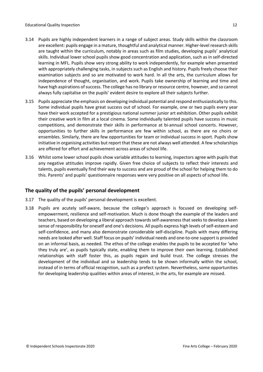- 3.14 Pupils are highly independent learners in a range of subject areas. Study skills within the classroom are excellent: pupils engage in a mature, thoughtful and analytical manner. Higher-level research skills are taught within the curriculum, notably in areas such as film studies, developing pupils' analytical skills. Individual lower school pupils show good concentration and application, such as in self-directed learning in MFL. Pupils show very strong ability to work independently, for example when presented with appropriately challenging tasks, in subjects such as English and history. Pupils freely choose their examination subjects and so are motivated to work hard. In all the arts, the curriculum allows for independence of thought, organisation, and work. Pupils take ownership of learning and time and have high aspirations of success. The college has no library or resource centre, however, and so cannot always fully capitalise on the pupils' evident desire to explore all their subjects further.
- 3.15 Pupils appreciate the emphasis on developing individual potential and respond enthusiastically to this. Some individual pupils have great success out of school. For example, one or two pupils every year have their work accepted for a prestigious national summer junior art exhibition. Other pupils exhibit their creative work in film at a local cinema. Some individually talented pupils have success in music competitions, and demonstrate their skills in performance at bi-annual school concerts. However, opportunities to further skills in performance are few within school, as there are no choirs or ensembles. Similarly, there are few opportunities for team or individual success in sport. Pupils show initiative in organising activities but report that these are not always well attended. A few scholarships are offered for effort and achievement across areas of school life.
- 3.16 Whilst some lower school pupils show variable attitudes to learning, inspectors agree with pupils that any negative attitudes improve rapidly. Given free choice of subjects to reflect their interests and talents, pupils eventually find their way to success and are proud of the school for helping them to do this. Parents' and pupils' questionnaire responses were very positive on all aspects of school life.

#### <span id="page-11-0"></span>**The quality of the pupils' personal development**

- 3.17 The quality of the pupils' personal development is excellent.
- 3.18 Pupils are acutely self-aware, because the college's approach is focused on developing selfempowerment, resilience and self-motivation. Much is done though the example of the leaders and teachers, based on developing a liberal approach towards self-awareness that seeks to develop a keen sense of responsibility for oneself and one's decisions. All pupils express high levels of self-esteem and self-confidence, and many also demonstrate considerable self-discipline. Pupils with many differing needs are looked after well. Staff focus on pupils' individual needs and one-to-one support is provided on an informal basis, as needed. The ethos of the college enables the pupils to be accepted for 'who they truly are', as pupils typically state, enabling them to improve their own learning. Established relationships with staff foster this, as pupils regain and build trust. The college stresses the development of the individual and so leadership tends to be shown informally within the school, instead of in terms of official recognition, such as a prefect system. Nevertheless, some opportunities for developing leadership qualities within areas of interest, in the arts, for example are missed.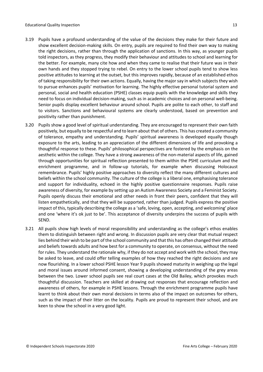- 3.19 Pupils have a profound understanding of the value of the decisions they make for their future and show excellent decision-making skills. On entry, pupils are required to find their own way to making the right decisions, rather than through the application of sanctions. In this way, as younger pupils told inspectors, as they progress, they modify their behaviour and attitudes to school and learning for the better. For example, many cite how and when they came to realise that their future was in their own hands and they stopped trying to rebel. On entry to the lower school pupils tend to show less positive attitudes to learning at the outset, but this improves rapidly, because of an established ethos of taking responsibility for their own actions. Equally, having the major say in which subjects they wish to pursue enhances pupils' motivation for learning. The highly effective personal tutorial system and personal, social and health education (PSHE) classes equip pupils with the knowledge and skills they need to focus on individual decision-making, such as in academic choices and on personal well-being. Senior pupils display excellent behaviour around school. Pupils are polite to each other, to staff and to visitors. Sanctions and behavioural systems are clearly understood, based on prevention and positivity rather than punishment.
- 3.20 Pupils show a good level of spiritual understanding. They are encouraged to represent their own faith positively, but equally to be respectful and to learn about that of others. This has created a community of tolerance, empathy and understanding. Pupils' spiritual awareness is developed equally though exposure to the arts, leading to an appreciation of the different dimensions of life and provoking a thoughtful response to these. Pupils' philosophical perspectives are fostered by the emphasis on the aesthetic within the college. They have a strong awareness of the non-material aspects of life, gained through opportunities for spiritual reflection presented to them within the PSHE curriculum and the enrichment programme, and in follow-up tutorials, for example when discussing Holocaust remembrance. Pupils' highly positive approaches to diversity reflect the many different cultures and beliefs within the school community. The culture of the college is a liberal one, emphasising tolerance and support for individuality, echoed in the highly positive questionnaire responses. Pupils raise awareness of diversity, for example by setting up an Autism Awareness Society and a Feminist Society. Pupils openly discuss their emotional and other needs in front their peers, confident that they will listen empathetically, and that they will be supported, rather than judged. Pupils express the positive impact of this, typically describing the college as a 'safe, loving, open, accepting, and welcoming' place and one 'where it's ok just to be'. This acceptance of diversity underpins the success of pupils with SEND.
- 3.21 All pupils show high levels of moral responsibility and understanding as the college's ethos enables them to distinguish between right and wrong. In discussion pupils are very clear that mutual respect lies behind their wish to be part of the school community and that this has often changed their attitude and beliefs towards adults and how best for a community to operate, on consensus, without the need for rules. They understand the rationale why, if they do not accept and work with the school, they may be asked to leave, and could offer telling examples of how they reached the right decisions and are now flourishing. In a lower school PSHE lesson Year 9 pupils showed maturity in weighing up the legal and moral issues around informed consent, showing a developing understanding of the grey areas between the two. Lower school pupils see real court cases at the Old Bailey, which provokes much thoughtful discussion. Teachers are skilled at drawing out responses that encourage reflection and awareness of others, for example in PSHE lessons. Through the enrichment programme pupils have learnt to think about their own moral decisions in terms also of the impact on outcomes for others, such as the impact of their litter on the locality. Pupils are proud to represent their school, and are keen to show the school in a very good light.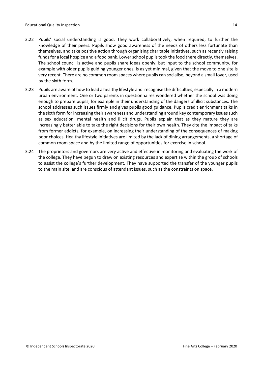- 3.22 Pupils' social understanding is good. They work collaboratively, when required, to further the knowledge of their peers. Pupils show good awareness of the needs of others less fortunate than themselves, and take positive action through organising charitable initiatives, such as recently raising funds for a local hospice and a food bank. Lower school pupils took the food there directly, themselves. The school council is active and pupils share ideas openly, but input to the school community, for example with older pupils guiding younger ones, is as yet minimal, given that the move to one site is very recent. There are no common room spaces where pupils can socialise, beyond a small foyer, used by the sixth form.
- 3.23 Pupils are aware of how to lead a healthy lifestyle and recognise the difficulties, especially in a modern urban environment. One or two parents in questionnaires wondered whether the school was doing enough to prepare pupils, for example in their understanding of the dangers of illicit substances. The school addresses such issues firmly and gives pupils good guidance. Pupils credit enrichment talks in the sixth form for increasing their awareness and understanding around key contemporary issues such as sex education, mental health and illicit drugs. Pupils explain that as they mature they are increasingly better able to take the right decisions for their own health. They cite the impact of talks from former addicts, for example, on increasing their understanding of the consequences of making poor choices. Healthy lifestyle initiatives are limited by the lack of dining arrangements, a shortage of common room space and by the limited range of opportunities for exercise in school.
- 3.24 The proprietors and governors are very active and effective in monitoring and evaluating the work of the college. They have begun to draw on existing resources and expertise within the group of schools to assist the college's further development. They have supported the transfer of the younger pupils to the main site, and are conscious of attendant issues, such as the constraints on space.